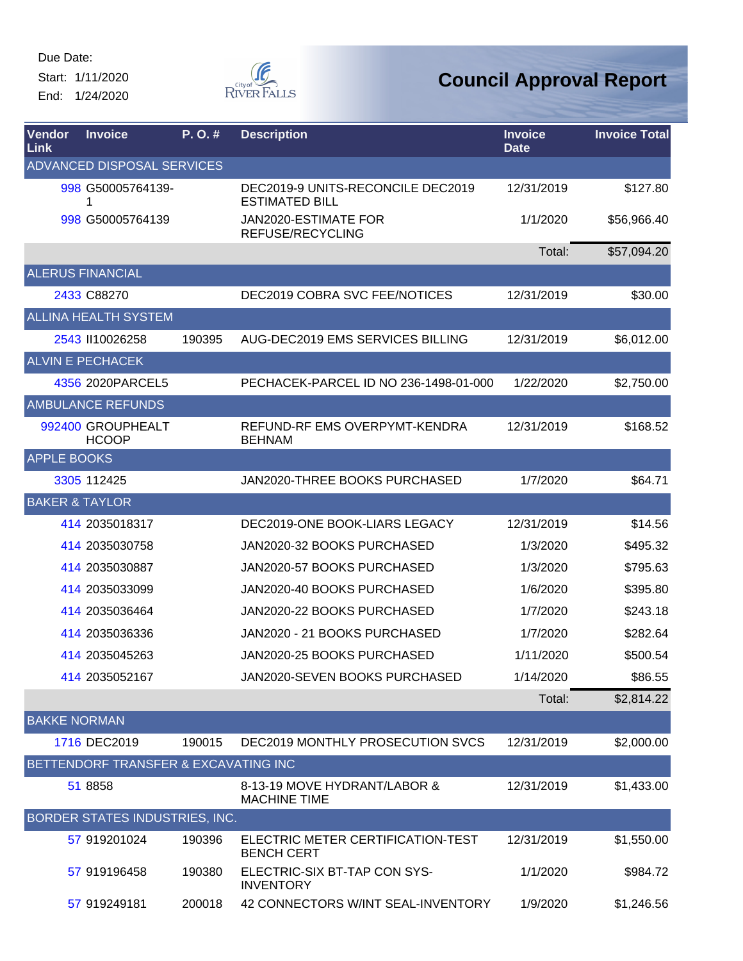Start: 1/11/2020 End: 1/24/2020



| <b>Vendor</b><br>Link     | <b>Invoice</b>                        | P. O. # | <b>Description</b>                                         | <b>Invoice</b><br><b>Date</b> | <b>Invoice Total</b> |
|---------------------------|---------------------------------------|---------|------------------------------------------------------------|-------------------------------|----------------------|
|                           | ADVANCED DISPOSAL SERVICES            |         |                                                            |                               |                      |
|                           | 998 G50005764139-<br>1                |         | DEC2019-9 UNITS-RECONCILE DEC2019<br><b>ESTIMATED BILL</b> | 12/31/2019                    | \$127.80             |
|                           | 998 G50005764139                      |         | JAN2020-ESTIMATE FOR<br>REFUSE/RECYCLING                   | 1/1/2020                      | \$56,966.40          |
|                           |                                       |         |                                                            | Total:                        | \$57,094.20          |
|                           | <b>ALERUS FINANCIAL</b>               |         |                                                            |                               |                      |
|                           | 2433 C88270                           |         | <b>DEC2019 COBRA SVC FEE/NOTICES</b>                       | 12/31/2019                    | \$30.00              |
|                           | <b>ALLINA HEALTH SYSTEM</b>           |         |                                                            |                               |                      |
|                           | 2543 II10026258                       | 190395  | AUG-DEC2019 EMS SERVICES BILLING                           | 12/31/2019                    | \$6,012.00           |
|                           | <b>ALVIN E PECHACEK</b>               |         |                                                            |                               |                      |
|                           | 4356 2020 PARCEL5                     |         | PECHACEK-PARCEL ID NO 236-1498-01-000                      | 1/22/2020                     | \$2,750.00           |
|                           | <b>AMBULANCE REFUNDS</b>              |         |                                                            |                               |                      |
|                           | 992400 GROUPHEALT<br><b>HCOOP</b>     |         | REFUND-RF EMS OVERPYMT-KENDRA<br><b>BEHNAM</b>             | 12/31/2019                    | \$168.52             |
| <b>APPLE BOOKS</b>        |                                       |         |                                                            |                               |                      |
|                           | 3305 112425                           |         | JAN2020-THREE BOOKS PURCHASED                              | 1/7/2020                      | \$64.71              |
| <b>BAKER &amp; TAYLOR</b> |                                       |         |                                                            |                               |                      |
|                           | 414 2035018317                        |         | DEC2019-ONE BOOK-LIARS LEGACY                              | 12/31/2019                    | \$14.56              |
|                           | 414 2035030758                        |         | JAN2020-32 BOOKS PURCHASED                                 | 1/3/2020                      | \$495.32             |
|                           | 414 2035030887                        |         | JAN2020-57 BOOKS PURCHASED                                 | 1/3/2020                      | \$795.63             |
|                           | 414 2035033099                        |         | JAN2020-40 BOOKS PURCHASED                                 | 1/6/2020                      | \$395.80             |
|                           | 414 2035036464                        |         | JAN2020-22 BOOKS PURCHASED                                 | 1/7/2020                      | \$243.18             |
|                           | 414 2035036336                        |         | JAN2020 - 21 BOOKS PURCHASED                               | 1/7/2020                      | \$282.64             |
|                           | 414 2035045263                        |         | JAN2020-25 BOOKS PURCHASED                                 | 1/11/2020                     | \$500.54             |
|                           | 414 2035052167                        |         | JAN2020-SEVEN BOOKS PURCHASED                              | 1/14/2020                     | \$86.55              |
|                           |                                       |         |                                                            | Total:                        | \$2,814.22           |
| <b>BAKKE NORMAN</b>       |                                       |         |                                                            |                               |                      |
|                           | 1716 DEC2019                          | 190015  | DEC2019 MONTHLY PROSECUTION SVCS                           | 12/31/2019                    | \$2,000.00           |
|                           | BETTENDORF TRANSFER & EXCAVATING INC  |         |                                                            |                               |                      |
|                           | 51 8858                               |         | 8-13-19 MOVE HYDRANT/LABOR &<br><b>MACHINE TIME</b>        | 12/31/2019                    | \$1,433.00           |
|                           | <b>BORDER STATES INDUSTRIES, INC.</b> |         |                                                            |                               |                      |
|                           | 57 919201024                          | 190396  | ELECTRIC METER CERTIFICATION-TEST<br><b>BENCH CERT</b>     | 12/31/2019                    | \$1,550.00           |
|                           | 57 919196458                          | 190380  | ELECTRIC-SIX BT-TAP CON SYS-<br><b>INVENTORY</b>           | 1/1/2020                      | \$984.72             |
|                           | 57 919249181                          | 200018  | 42 CONNECTORS W/INT SEAL-INVENTORY                         | 1/9/2020                      | \$1,246.56           |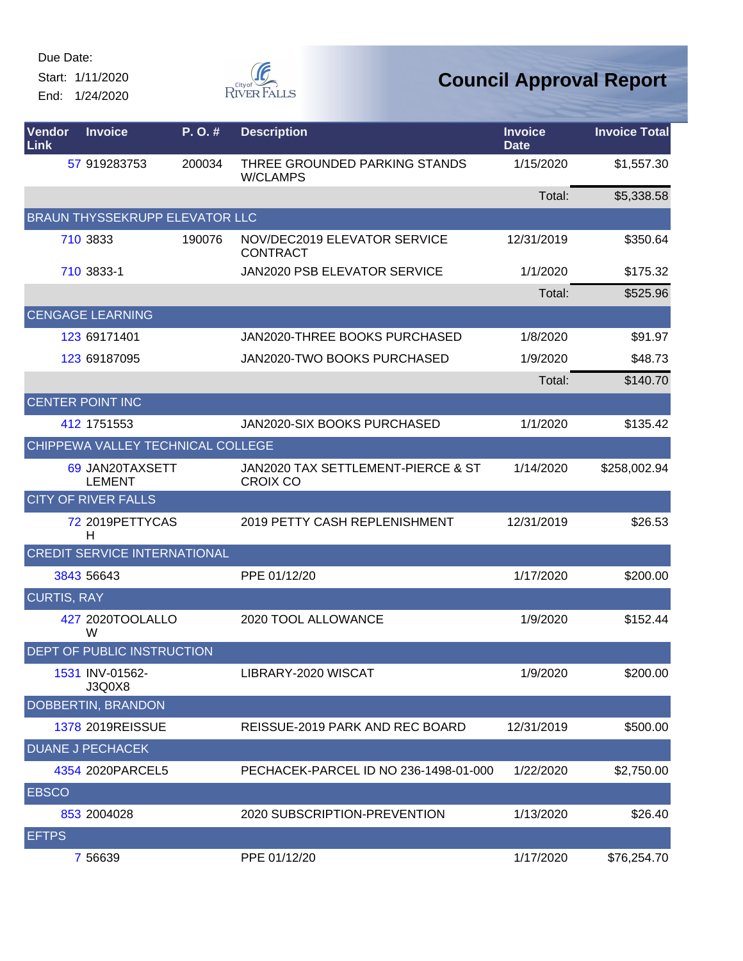Start: 1/11/2020 End: 1/24/2020



| Vendor<br>Link     | <b>Invoice</b>                      | P.O.#  | <b>Description</b>                                    | <b>Invoice</b><br><b>Date</b> | <b>Invoice Total</b> |
|--------------------|-------------------------------------|--------|-------------------------------------------------------|-------------------------------|----------------------|
|                    | 57 919283753                        | 200034 | THREE GROUNDED PARKING STANDS<br><b>W/CLAMPS</b>      | 1/15/2020                     | \$1,557.30           |
|                    |                                     |        |                                                       | Total:                        | \$5,338.58           |
|                    | BRAUN THYSSEKRUPP ELEVATOR LLC      |        |                                                       |                               |                      |
|                    | 710 3833                            | 190076 | NOV/DEC2019 ELEVATOR SERVICE<br><b>CONTRACT</b>       | 12/31/2019                    | \$350.64             |
|                    | 710 3833-1                          |        | JAN2020 PSB ELEVATOR SERVICE                          | 1/1/2020                      | \$175.32             |
|                    |                                     |        |                                                       | Total:                        | \$525.96             |
|                    | <b>CENGAGE LEARNING</b>             |        |                                                       |                               |                      |
|                    | 123 69171401                        |        | JAN2020-THREE BOOKS PURCHASED                         | 1/8/2020                      | \$91.97              |
|                    | 123 69187095                        |        | JAN2020-TWO BOOKS PURCHASED                           | 1/9/2020                      | \$48.73              |
|                    |                                     |        |                                                       | Total:                        | \$140.70             |
|                    | <b>CENTER POINT INC</b>             |        |                                                       |                               |                      |
|                    | 412 1751553                         |        | <b>JAN2020-SIX BOOKS PURCHASED</b>                    | 1/1/2020                      | \$135.42             |
|                    | CHIPPEWA VALLEY TECHNICAL COLLEGE   |        |                                                       |                               |                      |
|                    | 69 JAN20TAXSETT<br><b>LEMENT</b>    |        | JAN2020 TAX SETTLEMENT-PIERCE & ST<br><b>CROIX CO</b> | 1/14/2020                     | \$258,002.94         |
|                    | <b>CITY OF RIVER FALLS</b>          |        |                                                       |                               |                      |
|                    | 72 2019 PETTY CAS<br>н              |        | 2019 PETTY CASH REPLENISHMENT                         | 12/31/2019                    | \$26.53              |
|                    | <b>CREDIT SERVICE INTERNATIONAL</b> |        |                                                       |                               |                      |
|                    | 3843 56643                          |        | PPE 01/12/20                                          | 1/17/2020                     | \$200.00             |
| <b>CURTIS, RAY</b> |                                     |        |                                                       |                               |                      |
|                    | 427 2020TOOLALLO<br>W               |        | 2020 TOOL ALLOWANCE                                   | 1/9/2020                      | \$152.44             |
|                    | DEPT OF PUBLIC INSTRUCTION          |        |                                                       |                               |                      |
|                    | 1531 INV-01562-<br>J3Q0X8           |        | LIBRARY-2020 WISCAT                                   | 1/9/2020                      | \$200.00             |
|                    | DOBBERTIN, BRANDON                  |        |                                                       |                               |                      |
|                    | 1378 2019REISSUE                    |        | REISSUE-2019 PARK AND REC BOARD                       | 12/31/2019                    | \$500.00             |
|                    | <b>DUANE J PECHACEK</b>             |        |                                                       |                               |                      |
|                    | 4354 2020 PARCEL5                   |        | PECHACEK-PARCEL ID NO 236-1498-01-000                 | 1/22/2020                     | \$2,750.00           |
| <b>EBSCO</b>       |                                     |        |                                                       |                               |                      |
|                    | 853 2004028                         |        | 2020 SUBSCRIPTION-PREVENTION                          | 1/13/2020                     | \$26.40              |
| <b>EFTPS</b>       |                                     |        |                                                       |                               |                      |
|                    | 7 56639                             |        | PPE 01/12/20                                          | 1/17/2020                     | \$76,254.70          |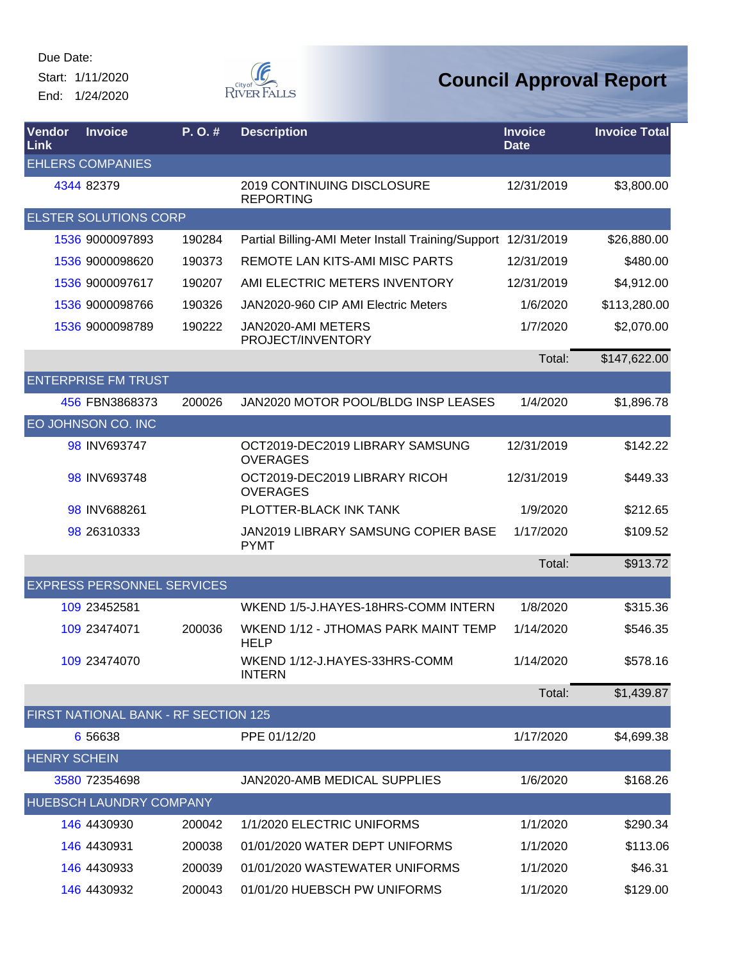Start: 1/11/2020 End: 1/24/2020



| Vendor<br>Link      | <b>Invoice</b>                       | P.O.#  | <b>Description</b>                                            | <b>Invoice</b><br><b>Date</b> | <b>Invoice Total</b> |
|---------------------|--------------------------------------|--------|---------------------------------------------------------------|-------------------------------|----------------------|
|                     | <b>EHLERS COMPANIES</b>              |        |                                                               |                               |                      |
|                     | 4344 82379                           |        | 2019 CONTINUING DISCLOSURE<br><b>REPORTING</b>                | 12/31/2019                    | \$3,800.00           |
|                     | <b>ELSTER SOLUTIONS CORP</b>         |        |                                                               |                               |                      |
|                     | 1536 9000097893                      | 190284 | Partial Billing-AMI Meter Install Training/Support 12/31/2019 |                               | \$26,880.00          |
|                     | 1536 9000098620                      | 190373 | REMOTE LAN KITS-AMI MISC PARTS                                | 12/31/2019                    | \$480.00             |
|                     | 1536 9000097617                      | 190207 | AMI ELECTRIC METERS INVENTORY                                 | 12/31/2019                    | \$4,912.00           |
|                     | 1536 9000098766                      | 190326 | JAN2020-960 CIP AMI Electric Meters                           | 1/6/2020                      | \$113,280.00         |
|                     | 1536 9000098789                      | 190222 | JAN2020-AMI METERS<br>PROJECT/INVENTORY                       | 1/7/2020                      | \$2,070.00           |
|                     |                                      |        |                                                               | Total:                        | \$147,622.00         |
|                     | <b>ENTERPRISE FM TRUST</b>           |        |                                                               |                               |                      |
|                     | 456 FBN3868373                       | 200026 | JAN2020 MOTOR POOL/BLDG INSP LEASES                           | 1/4/2020                      | \$1,896.78           |
|                     | EO JOHNSON CO. INC                   |        |                                                               |                               |                      |
|                     | 98 INV693747                         |        | OCT2019-DEC2019 LIBRARY SAMSUNG<br><b>OVERAGES</b>            | 12/31/2019                    | \$142.22             |
|                     | 98 INV693748                         |        | OCT2019-DEC2019 LIBRARY RICOH<br><b>OVERAGES</b>              | 12/31/2019                    | \$449.33             |
|                     | 98 INV688261                         |        | PLOTTER-BLACK INK TANK                                        | 1/9/2020                      | \$212.65             |
|                     | 98 26310333                          |        | JAN2019 LIBRARY SAMSUNG COPIER BASE<br><b>PYMT</b>            | 1/17/2020                     | \$109.52             |
|                     |                                      |        |                                                               | Total:                        | \$913.72             |
|                     | <b>EXPRESS PERSONNEL SERVICES</b>    |        |                                                               |                               |                      |
|                     | 109 23452581                         |        | WKEND 1/5-J.HAYES-18HRS-COMM INTERN                           | 1/8/2020                      | \$315.36             |
|                     | 109 23474071                         | 200036 | WKEND 1/12 - JTHOMAS PARK MAINT TEMP<br><b>HELP</b>           | 1/14/2020                     | \$546.35             |
|                     | 109 23474070                         |        | WKEND 1/12-J.HAYES-33HRS-COMM<br><b>INTERN</b>                | 1/14/2020                     | \$578.16             |
|                     |                                      |        |                                                               | Total:                        | \$1,439.87           |
|                     | FIRST NATIONAL BANK - RF SECTION 125 |        |                                                               |                               |                      |
|                     | 6 56638                              |        | PPE 01/12/20                                                  | 1/17/2020                     | \$4,699.38           |
| <b>HENRY SCHEIN</b> |                                      |        |                                                               |                               |                      |
|                     | 3580 72354698                        |        | JAN2020-AMB MEDICAL SUPPLIES                                  | 1/6/2020                      | \$168.26             |
|                     | <b>HUEBSCH LAUNDRY COMPANY</b>       |        |                                                               |                               |                      |
|                     | 146 4430930                          | 200042 | 1/1/2020 ELECTRIC UNIFORMS                                    | 1/1/2020                      | \$290.34             |
|                     | 146 4430931                          | 200038 | 01/01/2020 WATER DEPT UNIFORMS                                | 1/1/2020                      | \$113.06             |
|                     | 146 4430933                          | 200039 | 01/01/2020 WASTEWATER UNIFORMS                                | 1/1/2020                      | \$46.31              |
|                     | 146 4430932                          | 200043 | 01/01/20 HUEBSCH PW UNIFORMS                                  | 1/1/2020                      | \$129.00             |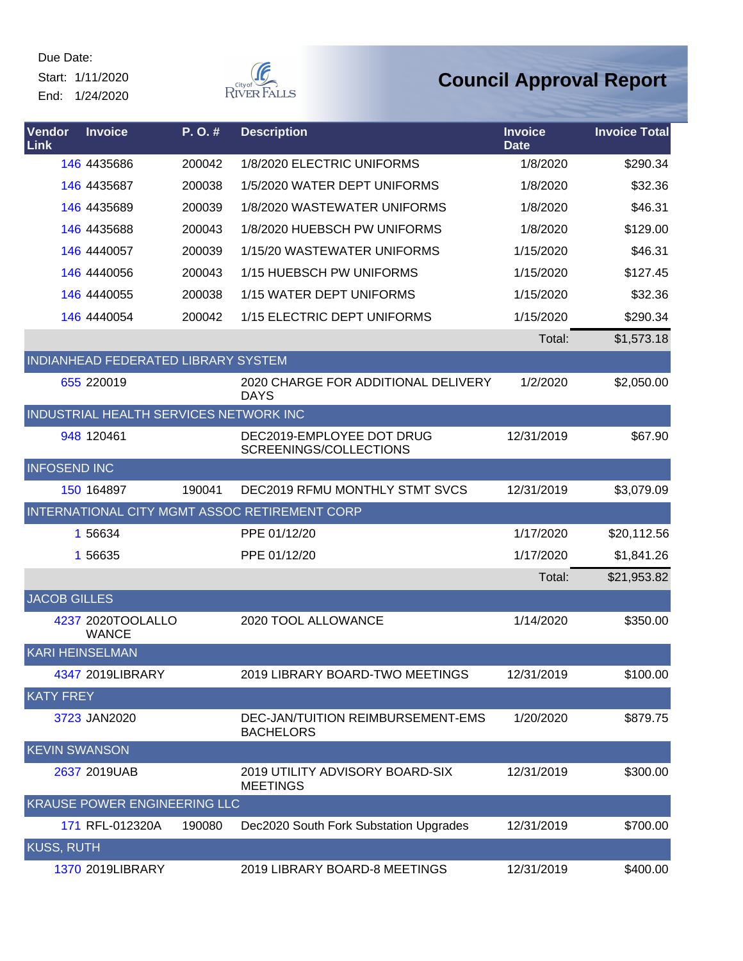Start: 1/11/2020 End: 1/24/2020



| Vendor<br>Link         | <b>Invoice</b>                         | P.O.#  | <b>Description</b>                                    | <b>Invoice</b><br><b>Date</b> | <b>Invoice Total</b> |
|------------------------|----------------------------------------|--------|-------------------------------------------------------|-------------------------------|----------------------|
|                        | 146 4435686                            | 200042 | 1/8/2020 ELECTRIC UNIFORMS                            | 1/8/2020                      | \$290.34             |
|                        | 146 4435687                            | 200038 | 1/5/2020 WATER DEPT UNIFORMS                          | 1/8/2020                      | \$32.36              |
|                        | 146 4435689                            | 200039 | 1/8/2020 WASTEWATER UNIFORMS                          | 1/8/2020                      | \$46.31              |
|                        | 146 4435688                            | 200043 | 1/8/2020 HUEBSCH PW UNIFORMS                          | 1/8/2020                      | \$129.00             |
|                        | 146 4440057                            | 200039 | 1/15/20 WASTEWATER UNIFORMS                           | 1/15/2020                     | \$46.31              |
|                        | <b>146 4440056</b>                     | 200043 | 1/15 HUEBSCH PW UNIFORMS                              | 1/15/2020                     | \$127.45             |
|                        | <b>146 4440055</b>                     | 200038 | 1/15 WATER DEPT UNIFORMS                              | 1/15/2020                     | \$32.36              |
|                        | <b>146 4440054</b>                     | 200042 | 1/15 ELECTRIC DEPT UNIFORMS                           | 1/15/2020                     | \$290.34             |
|                        |                                        |        |                                                       | Total:                        | \$1,573.18           |
|                        | INDIANHEAD FEDERATED LIBRARY SYSTEM    |        |                                                       |                               |                      |
|                        | 655 220019                             |        | 2020 CHARGE FOR ADDITIONAL DELIVERY<br><b>DAYS</b>    | 1/2/2020                      | \$2,050.00           |
|                        | INDUSTRIAL HEALTH SERVICES NETWORK INC |        |                                                       |                               |                      |
|                        | 948 120461                             |        | DEC2019-EMPLOYEE DOT DRUG<br>SCREENINGS/COLLECTIONS   | 12/31/2019                    | \$67.90              |
| <b>INFOSEND INC</b>    |                                        |        |                                                       |                               |                      |
|                        | 150 164897                             | 190041 | DEC2019 RFMU MONTHLY STMT SVCS                        | 12/31/2019                    | \$3,079.09           |
|                        |                                        |        | INTERNATIONAL CITY MGMT ASSOC RETIREMENT CORP         |                               |                      |
|                        | 1 56634                                |        | PPE 01/12/20                                          | 1/17/2020                     | \$20,112.56          |
|                        | 1 56635                                |        | PPE 01/12/20                                          | 1/17/2020                     | \$1,841.26           |
|                        |                                        |        |                                                       | Total:                        | \$21,953.82          |
| <b>JACOB GILLES</b>    |                                        |        |                                                       |                               |                      |
|                        | 4237 2020TOOLALLO<br><b>WANCE</b>      |        | 2020 TOOL ALLOWANCE                                   | 1/14/2020                     | \$350.00             |
| <b>KARI HEINSELMAN</b> |                                        |        |                                                       |                               |                      |
|                        | 4347 2019LIBRARY                       |        | 2019 LIBRARY BOARD-TWO MEETINGS                       | 12/31/2019                    | \$100.00             |
| <b>KATY FREY</b>       |                                        |        |                                                       |                               |                      |
|                        | 3723 JAN2020                           |        | DEC-JAN/TUITION REIMBURSEMENT-EMS<br><b>BACHELORS</b> | 1/20/2020                     | \$879.75             |
| <b>KEVIN SWANSON</b>   |                                        |        |                                                       |                               |                      |
|                        | 2637 2019UAB                           |        | 2019 UTILITY ADVISORY BOARD-SIX<br><b>MEETINGS</b>    | 12/31/2019                    | \$300.00             |
|                        | KRAUSE POWER ENGINEERING LLC           |        |                                                       |                               |                      |
|                        | 171 RFL-012320A                        | 190080 | Dec2020 South Fork Substation Upgrades                | 12/31/2019                    | \$700.00             |
| <b>KUSS, RUTH</b>      |                                        |        |                                                       |                               |                      |
|                        | 1370 2019LIBRARY                       |        | 2019 LIBRARY BOARD-8 MEETINGS                         | 12/31/2019                    | \$400.00             |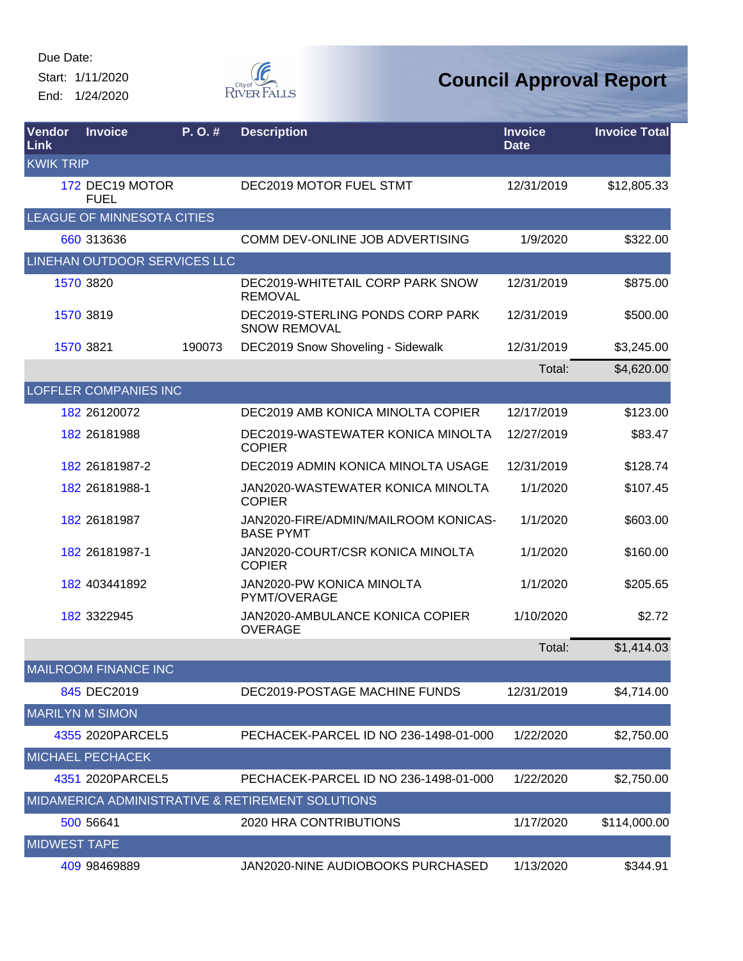Start: 1/11/2020 End: 1/24/2020



| Vendor<br>Link      | <b>Invoice</b>                 | P. O. # | <b>Description</b>                                       | <b>Invoice</b><br><b>Date</b> | <b>Invoice Total</b> |
|---------------------|--------------------------------|---------|----------------------------------------------------------|-------------------------------|----------------------|
| <b>KWIK TRIP</b>    |                                |         |                                                          |                               |                      |
|                     | 172 DEC19 MOTOR<br><b>FUEL</b> |         | DEC2019 MOTOR FUEL STMT                                  | 12/31/2019                    | \$12,805.33          |
|                     | LEAGUE OF MINNESOTA CITIES     |         |                                                          |                               |                      |
|                     | 660 313636                     |         | COMM DEV-ONLINE JOB ADVERTISING                          | 1/9/2020                      | \$322.00             |
|                     | LINEHAN OUTDOOR SERVICES LLC   |         |                                                          |                               |                      |
|                     | 1570 3820                      |         | DEC2019-WHITETAIL CORP PARK SNOW<br><b>REMOVAL</b>       | 12/31/2019                    | \$875.00             |
|                     | 1570 3819                      |         | DEC2019-STERLING PONDS CORP PARK<br><b>SNOW REMOVAL</b>  | 12/31/2019                    | \$500.00             |
|                     | 1570 3821                      | 190073  | DEC2019 Snow Shoveling - Sidewalk                        | 12/31/2019                    | \$3,245.00           |
|                     |                                |         |                                                          | Total:                        | \$4,620.00           |
|                     | <b>LOFFLER COMPANIES INC</b>   |         |                                                          |                               |                      |
|                     | 182 26120072                   |         | DEC2019 AMB KONICA MINOLTA COPIER                        | 12/17/2019                    | \$123.00             |
|                     | 182 26181988                   |         | DEC2019-WASTEWATER KONICA MINOLTA<br><b>COPIER</b>       | 12/27/2019                    | \$83.47              |
|                     | 182 26181987-2                 |         | DEC2019 ADMIN KONICA MINOLTA USAGE                       | 12/31/2019                    | \$128.74             |
|                     | 182 26181988-1                 |         | JAN2020-WASTEWATER KONICA MINOLTA<br><b>COPIER</b>       | 1/1/2020                      | \$107.45             |
|                     | 182 26181987                   |         | JAN2020-FIRE/ADMIN/MAILROOM KONICAS-<br><b>BASE PYMT</b> | 1/1/2020                      | \$603.00             |
|                     | 182 26181987-1                 |         | JAN2020-COURT/CSR KONICA MINOLTA<br><b>COPIER</b>        | 1/1/2020                      | \$160.00             |
|                     | 182 403441892                  |         | <b>JAN2020-PW KONICA MINOLTA</b><br>PYMT/OVERAGE         | 1/1/2020                      | \$205.65             |
|                     | 182 3322945                    |         | JAN2020-AMBULANCE KONICA COPIER<br><b>OVERAGE</b>        | 1/10/2020                     | \$2.72               |
|                     |                                |         |                                                          | Total:                        | \$1,414.03           |
|                     | <b>MAILROOM FINANCE INC</b>    |         |                                                          |                               |                      |
|                     | 845 DEC2019                    |         | DEC2019-POSTAGE MACHINE FUNDS                            | 12/31/2019                    | \$4,714.00           |
|                     | <b>MARILYN M SIMON</b>         |         |                                                          |                               |                      |
|                     | 4355 2020 PARCEL5              |         | PECHACEK-PARCEL ID NO 236-1498-01-000                    | 1/22/2020                     | \$2,750.00           |
|                     | <b>MICHAEL PECHACEK</b>        |         |                                                          |                               |                      |
|                     | 4351 2020 PARCEL5              |         | PECHACEK-PARCEL ID NO 236-1498-01-000                    | 1/22/2020                     | \$2,750.00           |
|                     |                                |         | MIDAMERICA ADMINISTRATIVE & RETIREMENT SOLUTIONS         |                               |                      |
|                     | 500 56641                      |         | 2020 HRA CONTRIBUTIONS                                   | 1/17/2020                     | \$114,000.00         |
| <b>MIDWEST TAPE</b> |                                |         |                                                          |                               |                      |
|                     | 409 98469889                   |         | JAN2020-NINE AUDIOBOOKS PURCHASED                        | 1/13/2020                     | \$344.91             |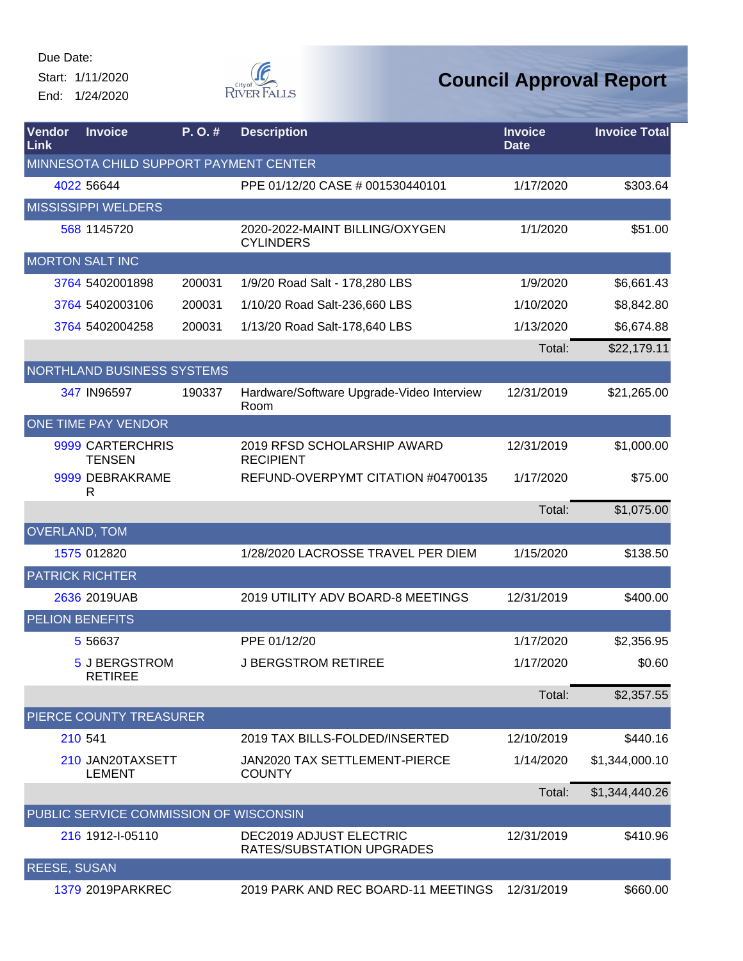Start: 1/11/2020 End: 1/24/2020



| Vendor<br>Link                         | <b>Invoice</b>                         | P.O.#  | <b>Description</b>                                   | <b>Invoice</b><br><b>Date</b> | <b>Invoice Total</b> |  |  |  |
|----------------------------------------|----------------------------------------|--------|------------------------------------------------------|-------------------------------|----------------------|--|--|--|
| MINNESOTA CHILD SUPPORT PAYMENT CENTER |                                        |        |                                                      |                               |                      |  |  |  |
|                                        | 4022 56644                             |        | PPE 01/12/20 CASE # 001530440101                     | 1/17/2020                     | \$303.64             |  |  |  |
|                                        | <b>MISSISSIPPI WELDERS</b>             |        |                                                      |                               |                      |  |  |  |
|                                        | 568 1145720                            |        | 2020-2022-MAINT BILLING/OXYGEN<br><b>CYLINDERS</b>   | 1/1/2020                      | \$51.00              |  |  |  |
|                                        | <b>MORTON SALT INC</b>                 |        |                                                      |                               |                      |  |  |  |
|                                        | 3764 5402001898                        | 200031 | 1/9/20 Road Salt - 178,280 LBS                       | 1/9/2020                      | \$6,661.43           |  |  |  |
|                                        | 3764 5402003106                        | 200031 | 1/10/20 Road Salt-236,660 LBS                        | 1/10/2020                     | \$8,842.80           |  |  |  |
|                                        | 3764 5402004258                        | 200031 | 1/13/20 Road Salt-178,640 LBS                        | 1/13/2020                     | \$6,674.88           |  |  |  |
|                                        |                                        |        |                                                      | Total:                        | \$22,179.11          |  |  |  |
|                                        | NORTHLAND BUSINESS SYSTEMS             |        |                                                      |                               |                      |  |  |  |
|                                        | 347 IN96597                            | 190337 | Hardware/Software Upgrade-Video Interview<br>Room    | 12/31/2019                    | \$21,265.00          |  |  |  |
|                                        | ONE TIME PAY VENDOR                    |        |                                                      |                               |                      |  |  |  |
|                                        | 9999 CARTERCHRIS<br><b>TENSEN</b>      |        | 2019 RFSD SCHOLARSHIP AWARD<br><b>RECIPIENT</b>      | 12/31/2019                    | \$1,000.00           |  |  |  |
|                                        | 9999 DEBRAKRAME<br>R                   |        | REFUND-OVERPYMT CITATION #04700135                   | 1/17/2020                     | \$75.00              |  |  |  |
|                                        |                                        |        |                                                      | Total:                        | \$1,075.00           |  |  |  |
|                                        | <b>OVERLAND, TOM</b>                   |        |                                                      |                               |                      |  |  |  |
|                                        | 1575 012820                            |        | 1/28/2020 LACROSSE TRAVEL PER DIEM                   | 1/15/2020                     | \$138.50             |  |  |  |
|                                        | <b>PATRICK RICHTER</b>                 |        |                                                      |                               |                      |  |  |  |
|                                        | 2636 2019UAB                           |        | 2019 UTILITY ADV BOARD-8 MEETINGS                    | 12/31/2019                    | \$400.00             |  |  |  |
|                                        | <b>PELION BENEFITS</b>                 |        |                                                      |                               |                      |  |  |  |
|                                        | 5 5 6 6 3 7                            |        | PPE 01/12/20                                         | 1/17/2020                     | \$2,356.95           |  |  |  |
|                                        | 5 J BERGSTROM<br><b>RETIREE</b>        |        | <b>J BERGSTROM RETIREE</b>                           | 1/17/2020                     | \$0.60               |  |  |  |
|                                        |                                        |        |                                                      | Total:                        | \$2,357.55           |  |  |  |
|                                        | PIERCE COUNTY TREASURER                |        |                                                      |                               |                      |  |  |  |
|                                        | 210 541                                |        | 2019 TAX BILLS-FOLDED/INSERTED                       | 12/10/2019                    | \$440.16             |  |  |  |
|                                        | 210 JAN20TAXSETT<br><b>LEMENT</b>      |        | JAN2020 TAX SETTLEMENT-PIERCE<br><b>COUNTY</b>       | 1/14/2020                     | \$1,344,000.10       |  |  |  |
|                                        |                                        |        |                                                      | Total:                        | \$1,344,440.26       |  |  |  |
|                                        | PUBLIC SERVICE COMMISSION OF WISCONSIN |        |                                                      |                               |                      |  |  |  |
|                                        | 216 1912-1-05110                       |        | DEC2019 ADJUST ELECTRIC<br>RATES/SUBSTATION UPGRADES | 12/31/2019                    | \$410.96             |  |  |  |
| <b>REESE, SUSAN</b>                    |                                        |        |                                                      |                               |                      |  |  |  |
|                                        | 1379 2019 PARKREC                      |        | 2019 PARK AND REC BOARD-11 MEETINGS                  | 12/31/2019                    | \$660.00             |  |  |  |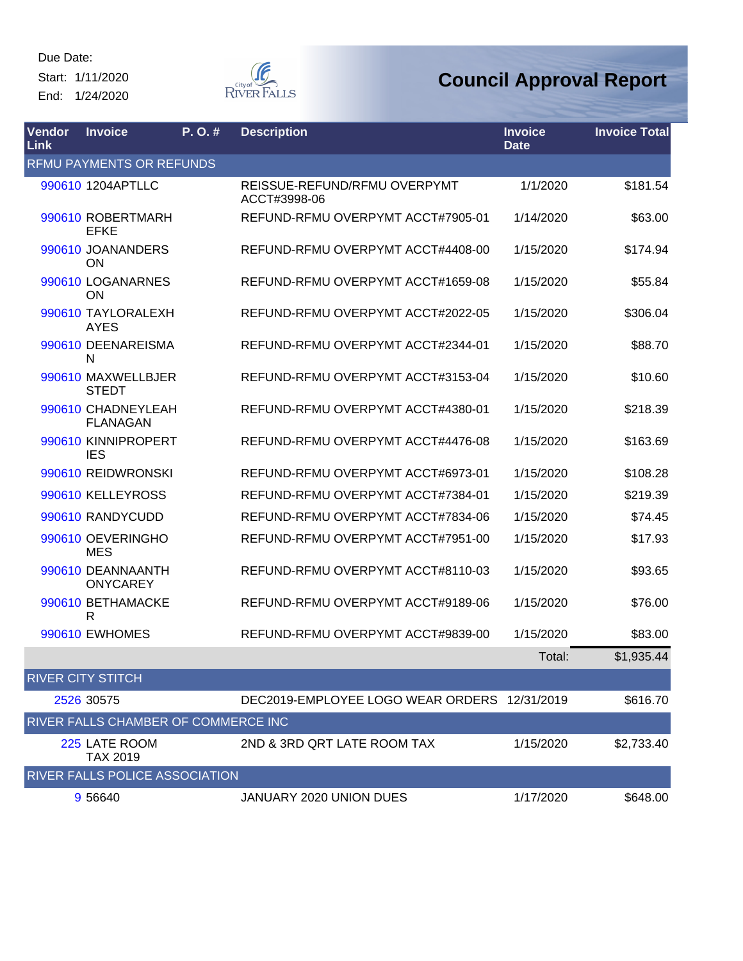Due Date: Start: 1/11/2020

End: 1/24/2020



| Vendor<br><b>Link</b> | <b>Invoice</b>                        | P. O. # | <b>Description</b>                           | <b>Invoice</b><br><b>Date</b> | <b>Invoice Total</b> |
|-----------------------|---------------------------------------|---------|----------------------------------------------|-------------------------------|----------------------|
|                       | <b>RFMU PAYMENTS OR REFUNDS</b>       |         |                                              |                               |                      |
|                       | 990610 1204APTLLC                     |         | REISSUE-REFUND/RFMU OVERPYMT<br>ACCT#3998-06 | 1/1/2020                      | \$181.54             |
|                       | 990610 ROBERTMARH<br><b>EFKE</b>      |         | REFUND-RFMU OVERPYMT ACCT#7905-01            | 1/14/2020                     | \$63.00              |
|                       | 990610 JOANANDERS<br><b>ON</b>        |         | REFUND-RFMU OVERPYMT ACCT#4408-00            | 1/15/2020                     | \$174.94             |
|                       | 990610 LOGANARNES<br><b>ON</b>        |         | REFUND-RFMU OVERPYMT ACCT#1659-08            | 1/15/2020                     | \$55.84              |
|                       | 990610 TAYLORALEXH<br><b>AYES</b>     |         | REFUND-RFMU OVERPYMT ACCT#2022-05            | 1/15/2020                     | \$306.04             |
|                       | 990610 DEENAREISMA<br>N               |         | REFUND-RFMU OVERPYMT ACCT#2344-01            | 1/15/2020                     | \$88.70              |
|                       | 990610 MAXWELLBJER<br><b>STEDT</b>    |         | REFUND-RFMU OVERPYMT ACCT#3153-04            | 1/15/2020                     | \$10.60              |
|                       | 990610 CHADNEYLEAH<br><b>FLANAGAN</b> |         | REFUND-RFMU OVERPYMT ACCT#4380-01            | 1/15/2020                     | \$218.39             |
|                       | 990610 KINNIPROPERT<br><b>IES</b>     |         | REFUND-RFMU OVERPYMT ACCT#4476-08            | 1/15/2020                     | \$163.69             |
|                       | 990610 REIDWRONSKI                    |         | REFUND-RFMU OVERPYMT ACCT#6973-01            | 1/15/2020                     | \$108.28             |
|                       | 990610 KELLEYROSS                     |         | REFUND-RFMU OVERPYMT ACCT#7384-01            | 1/15/2020                     | \$219.39             |
|                       | 990610 RANDYCUDD                      |         | REFUND-RFMU OVERPYMT ACCT#7834-06            | 1/15/2020                     | \$74.45              |
|                       | 990610 OEVERINGHO<br><b>MES</b>       |         | REFUND-RFMU OVERPYMT ACCT#7951-00            | 1/15/2020                     | \$17.93              |
|                       | 990610 DEANNAANTH<br><b>ONYCAREY</b>  |         | REFUND-RFMU OVERPYMT ACCT#8110-03            | 1/15/2020                     | \$93.65              |
|                       | 990610 BETHAMACKE<br>R                |         | REFUND-RFMU OVERPYMT ACCT#9189-06            | 1/15/2020                     | \$76.00              |
|                       | 990610 EWHOMES                        |         | REFUND-RFMU OVERPYMT ACCT#9839-00            | 1/15/2020                     | \$83.00              |
|                       |                                       |         |                                              | Total:                        | \$1,935.44           |
|                       | <b>RIVER CITY STITCH</b>              |         |                                              |                               |                      |
|                       | 2526 30575                            |         | DEC2019-EMPLOYEE LOGO WEAR ORDERS 12/31/2019 |                               | \$616.70             |
|                       | RIVER FALLS CHAMBER OF COMMERCE INC   |         |                                              |                               |                      |
|                       | 225 LATE ROOM<br><b>TAX 2019</b>      |         | 2ND & 3RD QRT LATE ROOM TAX                  | 1/15/2020                     | \$2,733.40           |
|                       | RIVER FALLS POLICE ASSOCIATION        |         |                                              |                               |                      |
|                       | 9 56640                               |         | JANUARY 2020 UNION DUES                      | 1/17/2020                     | \$648.00             |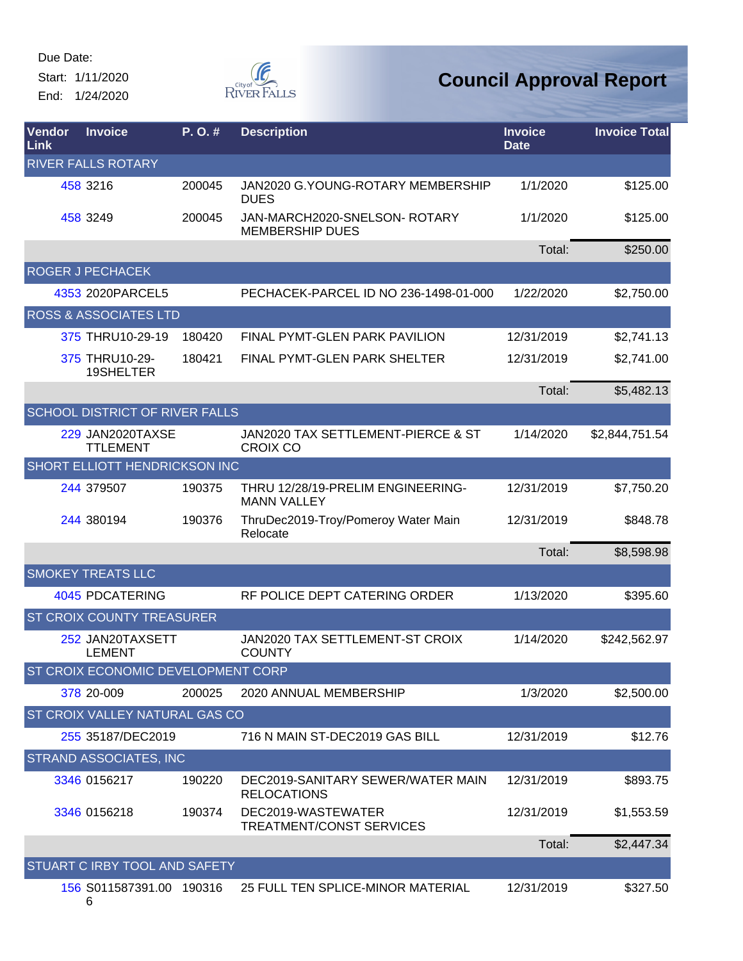Start: 1/11/2020 End: 1/24/2020



| <b>Vendor</b><br>Link  | <b>Invoice</b>                             | P. O. # | <b>Description</b>                                      | <b>Invoice</b><br><b>Date</b> | <b>Invoice Total</b> |  |  |
|------------------------|--------------------------------------------|---------|---------------------------------------------------------|-------------------------------|----------------------|--|--|
|                        | <b>RIVER FALLS ROTARY</b>                  |         |                                                         |                               |                      |  |  |
|                        | 458 3216                                   | 200045  | JAN2020 G.YOUNG-ROTARY MEMBERSHIP<br><b>DUES</b>        | 1/1/2020                      | \$125.00             |  |  |
|                        | 458 3249                                   | 200045  | JAN-MARCH2020-SNELSON-ROTARY<br><b>MEMBERSHIP DUES</b>  | 1/1/2020                      | \$125.00             |  |  |
|                        |                                            |         |                                                         | Total:                        | \$250.00             |  |  |
|                        | ROGER J PECHACEK                           |         |                                                         |                               |                      |  |  |
|                        | 4353 2020 PARCEL5                          |         | PECHACEK-PARCEL ID NO 236-1498-01-000                   | 1/22/2020                     | \$2,750.00           |  |  |
|                        | <b>ROSS &amp; ASSOCIATES LTD</b>           |         |                                                         |                               |                      |  |  |
|                        | 375 THRU10-29-19                           | 180420  | FINAL PYMT-GLEN PARK PAVILION                           | 12/31/2019                    | \$2,741.13           |  |  |
|                        | 375 THRU10-29-<br>19SHELTER                | 180421  | FINAL PYMT-GLEN PARK SHELTER                            | 12/31/2019                    | \$2,741.00           |  |  |
|                        |                                            |         |                                                         | Total:                        | \$5,482.13           |  |  |
|                        | <b>SCHOOL DISTRICT OF RIVER FALLS</b>      |         |                                                         |                               |                      |  |  |
|                        | <b>229 JAN2020TAXSE</b><br><b>TTLEMENT</b> |         | JAN2020 TAX SETTLEMENT-PIERCE & ST<br><b>CROIX CO</b>   | 1/14/2020                     | \$2,844,751.54       |  |  |
|                        | SHORT ELLIOTT HENDRICKSON INC              |         |                                                         |                               |                      |  |  |
|                        | 244 379507                                 | 190375  | THRU 12/28/19-PRELIM ENGINEERING-<br><b>MANN VALLEY</b> | 12/31/2019                    | \$7,750.20           |  |  |
|                        | 244 380194                                 | 190376  | ThruDec2019-Troy/Pomeroy Water Main<br>Relocate         | 12/31/2019                    | \$848.78             |  |  |
|                        |                                            |         |                                                         | Total:                        | \$8,598.98           |  |  |
|                        | <b>SMOKEY TREATS LLC</b>                   |         |                                                         |                               |                      |  |  |
|                        | <b>4045 PDCATERING</b>                     |         | RF POLICE DEPT CATERING ORDER                           | 1/13/2020                     | \$395.60             |  |  |
|                        | <b>ST CROIX COUNTY TREASURER</b>           |         |                                                         |                               |                      |  |  |
|                        | 252 JAN20TAXSETT<br><b>LEMENT</b>          |         | JAN2020 TAX SETTLEMENT-ST CROIX<br><b>COUNTY</b>        | 1/14/2020                     | \$242,562.97         |  |  |
|                        | ST CROIX ECONOMIC DEVELOPMENT CORP         |         |                                                         |                               |                      |  |  |
|                        | 378 20-009                                 | 200025  | 2020 ANNUAL MEMBERSHIP                                  | 1/3/2020                      | \$2,500.00           |  |  |
|                        | ST CROIX VALLEY NATURAL GAS CO             |         |                                                         |                               |                      |  |  |
|                        | 255 35187/DEC2019                          |         | 716 N MAIN ST-DEC2019 GAS BILL                          | 12/31/2019                    | \$12.76              |  |  |
| STRAND ASSOCIATES, INC |                                            |         |                                                         |                               |                      |  |  |
|                        | 3346 0156217                               | 190220  | DEC2019-SANITARY SEWER/WATER MAIN<br><b>RELOCATIONS</b> | 12/31/2019                    | \$893.75             |  |  |
|                        | 3346 0156218                               | 190374  | DEC2019-WASTEWATER<br><b>TREATMENT/CONST SERVICES</b>   | 12/31/2019                    | \$1,553.59           |  |  |
|                        |                                            |         |                                                         | Total:                        | \$2,447.34           |  |  |
|                        | STUART C IRBY TOOL AND SAFETY              |         |                                                         |                               |                      |  |  |
|                        | 156 S011587391.00 190316<br>6              |         | 25 FULL TEN SPLICE-MINOR MATERIAL                       | 12/31/2019                    | \$327.50             |  |  |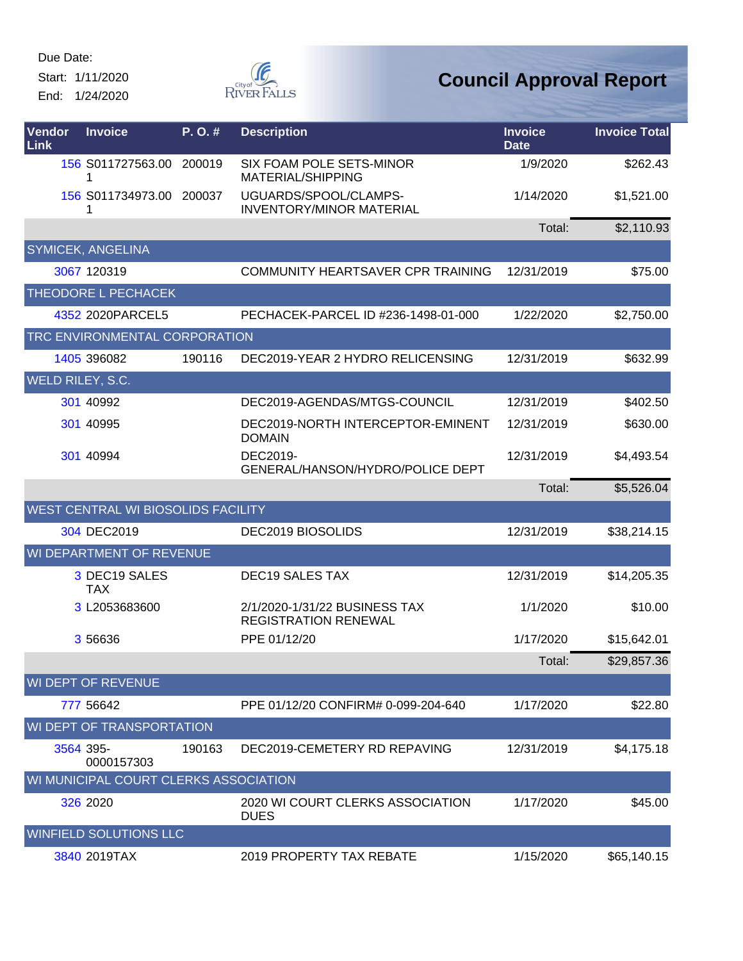Start: 1/11/2020 End: 1/24/2020

G RIVER FALLS

| Vendor<br>Link          | <b>Invoice</b>                        | P.O.#  | <b>Description</b>                                           | <b>Invoice</b><br><b>Date</b> | <b>Invoice Total</b> |
|-------------------------|---------------------------------------|--------|--------------------------------------------------------------|-------------------------------|----------------------|
|                         | 156 S011727563.00 200019<br>1         |        | SIX FOAM POLE SETS-MINOR<br>MATERIAL/SHIPPING                | 1/9/2020                      | \$262.43             |
|                         | 156 S011734973.00<br>1                | 200037 | UGUARDS/SPOOL/CLAMPS-<br><b>INVENTORY/MINOR MATERIAL</b>     | 1/14/2020                     | \$1,521.00           |
|                         |                                       |        |                                                              | Total:                        | \$2,110.93           |
|                         | <b>SYMICEK, ANGELINA</b>              |        |                                                              |                               |                      |
|                         | 3067 120319                           |        | COMMUNITY HEARTSAVER CPR TRAINING                            | 12/31/2019                    | \$75.00              |
|                         | THEODORE L PECHACEK                   |        |                                                              |                               |                      |
|                         | 4352 2020 PARCEL5                     |        | PECHACEK-PARCEL ID #236-1498-01-000                          | 1/22/2020                     | \$2,750.00           |
|                         | TRC ENVIRONMENTAL CORPORATION         |        |                                                              |                               |                      |
|                         | 1405 396082                           | 190116 | DEC2019-YEAR 2 HYDRO RELICENSING                             | 12/31/2019                    | \$632.99             |
| <b>WELD RILEY, S.C.</b> |                                       |        |                                                              |                               |                      |
|                         | 301 40992                             |        | DEC2019-AGENDAS/MTGS-COUNCIL                                 | 12/31/2019                    | \$402.50             |
|                         | 301 40995                             |        | DEC2019-NORTH INTERCEPTOR-EMINENT<br><b>DOMAIN</b>           | 12/31/2019                    | \$630.00             |
|                         | 301 40994                             |        | DEC2019-<br>GENERAL/HANSON/HYDRO/POLICE DEPT                 | 12/31/2019                    | \$4,493.54           |
|                         |                                       |        |                                                              | Total:                        | \$5,526.04           |
|                         | WEST CENTRAL WI BIOSOLIDS FACILITY    |        |                                                              |                               |                      |
|                         | 304 DEC2019                           |        | DEC2019 BIOSOLIDS                                            | 12/31/2019                    | \$38,214.15          |
|                         | WI DEPARTMENT OF REVENUE              |        |                                                              |                               |                      |
|                         | 3 DEC19 SALES<br><b>TAX</b>           |        | <b>DEC19 SALES TAX</b>                                       | 12/31/2019                    | \$14,205.35          |
|                         | 3 L2053683600                         |        | 2/1/2020-1/31/22 BUSINESS TAX<br><b>REGISTRATION RENEWAL</b> | 1/1/2020                      | \$10.00              |
|                         | 3 56636                               |        | PPE 01/12/20                                                 | 1/17/2020                     | \$15,642.01          |
|                         |                                       |        |                                                              | Total:                        | \$29,857.36          |
|                         | <b>WI DEPT OF REVENUE</b>             |        |                                                              |                               |                      |
|                         | 777 56642                             |        | PPE 01/12/20 CONFIRM# 0-099-204-640                          | 1/17/2020                     | \$22.80              |
|                         | <b>WI DEPT OF TRANSPORTATION</b>      |        |                                                              |                               |                      |
|                         | 3564 395-<br>0000157303               | 190163 | DEC2019-CEMETERY RD REPAVING                                 | 12/31/2019                    | \$4,175.18           |
|                         | WI MUNICIPAL COURT CLERKS ASSOCIATION |        |                                                              |                               |                      |
|                         | 326 2020                              |        | 2020 WI COURT CLERKS ASSOCIATION<br><b>DUES</b>              | 1/17/2020                     | \$45.00              |
|                         | <b>WINFIELD SOLUTIONS LLC</b>         |        |                                                              |                               |                      |
|                         | 3840 2019TAX                          |        | 2019 PROPERTY TAX REBATE                                     | 1/15/2020                     | \$65,140.15          |